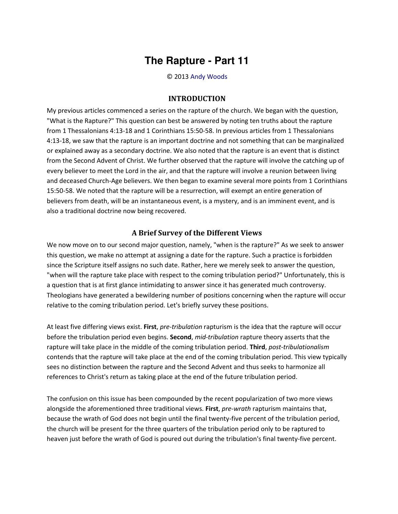## **The Rapture - Part 11**

© 2013 [Andy Woods](http://www.spiritandtruth.org/id/aw.htm)

## **INTRODUCTION**

My previous articles commenced a series on the rapture of the church. We began with the question, "What is the Rapture?" This question can best be answered by noting ten truths about the rapture from 1 Thessalonians 4:13-18 and 1 Corinthians 15:50-58. In previous articles from 1 Thessalonians 4:13-18, we saw that the rapture is an important doctrine and not something that can be marginalized or explained away as a secondary doctrine. We also noted that the rapture is an event that is distinct from the Second Advent of Christ. We further observed that the rapture will involve the catching up of every believer to meet the Lord in the air, and that the rapture will involve a reunion between living and deceased Church-Age believers. We then began to examine several more points from 1 Corinthians 15:50-58. We noted that the rapture will be a resurrection, will exempt an entire generation of believers from death, will be an instantaneous event, is a mystery, and is an imminent event, and is also a traditional doctrine now being recovered.

## **A Brief Survey of the Different Views**

We now move on to our second major question, namely, "when is the rapture?" As we seek to answer this question, we make no attempt at assigning a date for the rapture. Such a practice is forbidden since the Scripture itself assigns no such date. Rather, here we merely seek to answer the question, "when will the rapture take place with respect to the coming tribulation period?" Unfortunately, this is a question that is at first glance intimidating to answer since it has generated much controversy. Theologians have generated a bewildering number of positions concerning when the rapture will occur relative to the coming tribulation period. Let's briefly survey these positions.

At least five differing views exist. **First**, *pre-tribulation* rapturism is the idea that the rapture will occur before the tribulation period even begins. **Second**, *mid-tribulation* rapture theory asserts that the rapture will take place in the middle of the coming tribulation period. **Third**, *post-tribulationalism* contends that the rapture will take place at the end of the coming tribulation period. This view typically sees no distinction between the rapture and the Second Advent and thus seeks to harmonize all references to Christ's return as taking place at the end of the future tribulation period.

The confusion on this issue has been compounded by the recent popularization of two more views alongside the aforementioned three traditional views. **First**, *pre-wrath* rapturism maintains that, because the wrath of God does not begin until the final twenty-five percent of the tribulation period, the church will be present for the three quarters of the tribulation period only to be raptured to heaven just before the wrath of God is poured out during the tribulation's final twenty-five percent.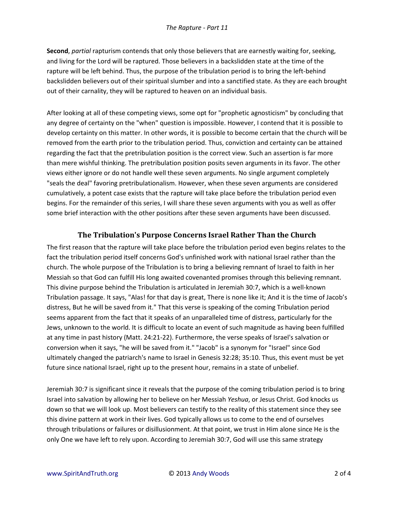**Second**, *partial* rapturism contends that only those believers that are earnestly waiting for, seeking, and living for the Lord will be raptured. Those believers in a backslidden state at the time of the rapture will be left behind. Thus, the purpose of the tribulation period is to bring the left-behind backslidden believers out of their spiritual slumber and into a sanctified state. As they are each brought out of their carnality, they will be raptured to heaven on an individual basis.

After looking at all of these competing views, some opt for "prophetic agnosticism" by concluding that any degree of certainty on the "when" question is impossible. However, I contend that it is possible to develop certainty on this matter. In other words, it is possible to become certain that the church will be removed from the earth prior to the tribulation period. Thus, conviction and certainty can be attained regarding the fact that the pretribulation position is the correct view. Such an assertion is far more than mere wishful thinking. The pretribulation position posits seven arguments in its favor. The other views either ignore or do not handle well these seven arguments. No single argument completely "seals the deal" favoring pretribulationalism. However, when these seven arguments are considered cumulatively, a potent case exists that the rapture will take place before the tribulation period even begins. For the remainder of this series, I will share these seven arguments with you as well as offer some brief interaction with the other positions after these seven arguments have been discussed.

## **The Tribulation's Purpose Concerns Israel Rather Than the Church**

The first reason that the rapture will take place before the tribulation period even begins relates to the fact the tribulation period itself concerns God's unfinished work with national Israel rather than the church. The whole purpose of the Tribulation is to bring a believing remnant of Israel to faith in her Messiah so that God can fulfill His long awaited covenanted promises through this believing remnant. This divine purpose behind the Tribulation is articulated in Jeremiah 30:7, which is a well-known Tribulation passage. It says, "Alas! for that day is great, There is none like it; And it is the time of Jacob's distress, But he will be saved from it." That this verse is speaking of the coming Tribulation period seems apparent from the fact that it speaks of an unparalleled time of distress, particularly for the Jews, unknown to the world. It is difficult to locate an event of such magnitude as having been fulfilled at any time in past history (Matt. 24:21-22). Furthermore, the verse speaks of Israel's salvation or conversion when it says, "he will be saved from it." "Jacob" is a synonym for "Israel" since God ultimately changed the patriarch's name to Israel in Genesis 32:28; 35:10. Thus, this event must be yet future since national Israel, right up to the present hour, remains in a state of unbelief.

Jeremiah 30:7 is significant since it reveals that the purpose of the coming tribulation period is to bring Israel into salvation by allowing her to believe on her Messiah *Yeshua*, or Jesus Christ. God knocks us down so that we will look up. Most believers can testify to the reality of this statement since they see this divine pattern at work in their lives. God typically allows us to come to the end of ourselves through tribulations or failures or disillusionment. At that point, we trust in Him alone since He is the only One we have left to rely upon. According to Jeremiah 30:7, God will use this same strategy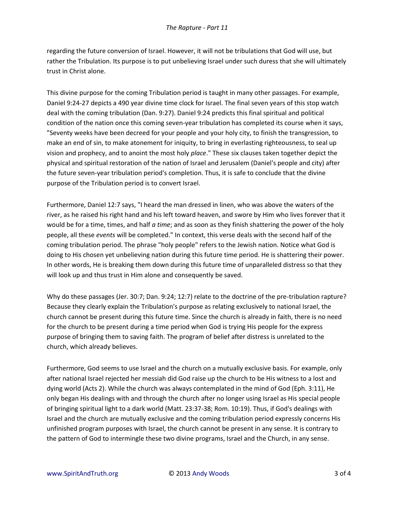regarding the future conversion of Israel. However, it will not be tribulations that God will use, but rather the Tribulation. Its purpose is to put unbelieving Israel under such duress that she will ultimately trust in Christ alone.

This divine purpose for the coming Tribulation period is taught in many other passages. For example, Daniel 9:24-27 depicts a 490 year divine time clock for Israel. The final seven years of this stop watch deal with the coming tribulation (Dan. 9:27). Daniel 9:24 predicts this final spiritual and political condition of the nation once this coming seven-year tribulation has completed its course when it says, "Seventy weeks have been decreed for your people and your holy city, to finish the transgression, to make an end of sin, to make atonement for iniquity, to bring in everlasting righteousness, to seal up vision and prophecy, and to anoint the most holy *place*." These six clauses taken together depict the physical and spiritual restoration of the nation of Israel and Jerusalem (Daniel's people and city) after the future seven-year tribulation period's completion. Thus, it is safe to conclude that the divine purpose of the Tribulation period is to convert Israel.

Furthermore, Daniel 12:7 says, "I heard the man dressed in linen, who was above the waters of the river, as he raised his right hand and his left toward heaven, and swore by Him who lives forever that it would be for a time, times, and half *a time*; and as soon as they finish shattering the power of the holy people, all these *events* will be completed." In context, this verse deals with the second half of the coming tribulation period. The phrase "holy people" refers to the Jewish nation. Notice what God is doing to His chosen yet unbelieving nation during this future time period. He is shattering their power. In other words, He is breaking them down during this future time of unparalleled distress so that they will look up and thus trust in Him alone and consequently be saved.

Why do these passages (Jer. 30:7; Dan. 9:24; 12:7) relate to the doctrine of the pre-tribulation rapture? Because they clearly explain the Tribulation's purpose as relating exclusively to national Israel, the church cannot be present during this future time. Since the church is already in faith, there is no need for the church to be present during a time period when God is trying His people for the express purpose of bringing them to saving faith. The program of belief after distress is unrelated to the church, which already believes.

Furthermore, God seems to use Israel and the church on a mutually exclusive basis. For example, only after national Israel rejected her messiah did God raise up the church to be His witness to a lost and dying world (Acts 2). While the church was always contemplated in the mind of God (Eph. 3:11), He only began His dealings with and through the church after no longer using Israel as His special people of bringing spiritual light to a dark world (Matt. 23:37-38; Rom. 10:19). Thus, if God's dealings with Israel and the church are mutually exclusive and the coming tribulation period expressly concerns His unfinished program purposes with Israel, the church cannot be present in any sense. It is contrary to the pattern of God to intermingle these two divine programs, Israel and the Church, in any sense.